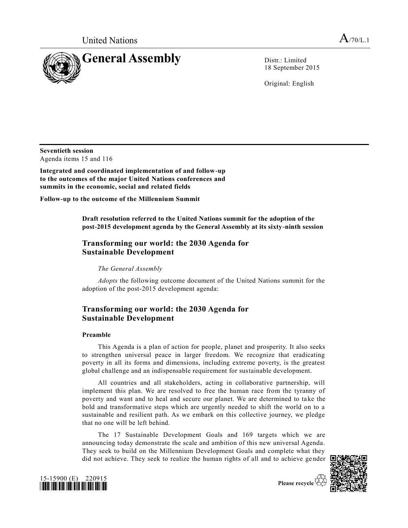

18 September 2015

Original: English

**Seventieth session** Agenda items 15 and 116

**Integrated and coordinated implementation of and follow-up to the outcomes of the major United Nations conferences and summits in the economic, social and related fields**

**Follow-up to the outcome of the Millennium Summit**

**Draft resolution referred to the United Nations summit for the adoption of the post-2015 development agenda by the General Assembly at its sixty-ninth session** 

# **Transforming our world: the 2030 Agenda for Sustainable Development**

*The General Assembly*

*Adopts* the following outcome document of the United Nations summit for the adoption of the post-2015 development agenda:

# **Transforming our world: the 2030 Agenda for Sustainable Development**

# **Preamble**

This Agenda is a plan of action for people, planet and prosperity. It also seeks to strengthen universal peace in larger freedom. We recognize that eradicating poverty in all its forms and dimensions, including extreme poverty, is the greatest global challenge and an indispensable requirement for sustainable development.

All countries and all stakeholders, acting in collaborative partnership, will implement this plan. We are resolved to free the human race from the tyranny of poverty and want and to heal and secure our planet. We are determined to take the bold and transformative steps which are urgently needed to shift the world on to a sustainable and resilient path. As we embark on this collective journey, we pledge that no one will be left behind.

The 17 Sustainable Development Goals and 169 targets which we are announcing today demonstrate the scale and ambition of this new universal Agenda. They seek to build on the Millennium Development Goals and complete what they did not achieve. They seek to realize the human rights of all and to achieve ge nder





Please recycle  $\overline{\mathcal{C}}$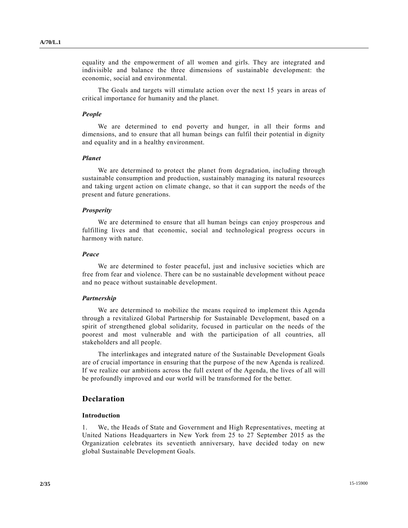equality and the empowerment of all women and girls. They are integrated and indivisible and balance the three dimensions of sustainable development: the economic, social and environmental.

The Goals and targets will stimulate action over the next 15 years in areas of critical importance for humanity and the planet.

## *People*

We are determined to end poverty and hunger, in all their forms and dimensions, and to ensure that all human beings can fulfil their potential in dignity and equality and in a healthy environment.

## *Planet*

We are determined to protect the planet from degradation, including through sustainable consumption and production, sustainably managing its natural resources and taking urgent action on climate change, so that it can support the needs of the present and future generations.

#### *Prosperity*

We are determined to ensure that all human beings can enjoy prosperous and fulfilling lives and that economic, social and technological progress occurs in harmony with nature.

### *Peace*

We are determined to foster peaceful, just and inclusive societies which are free from fear and violence. There can be no sustainable development without peace and no peace without sustainable development.

#### *Partnership*

We are determined to mobilize the means required to implement this Agenda through a revitalized Global Partnership for Sustainable Development, based on a spirit of strengthened global solidarity, focused in particular on the needs of the poorest and most vulnerable and with the participation of all countries, all stakeholders and all people.

The interlinkages and integrated nature of the Sustainable Development Goals are of crucial importance in ensuring that the purpose of the new Agenda is realized. If we realize our ambitions across the full extent of the Agenda, the lives of all will be profoundly improved and our world will be transformed for the better.

# **Declaration**

### **Introduction**

1. We, the Heads of State and Government and High Representatives, meeting at United Nations Headquarters in New York from 25 to 27 September 2015 as the Organization celebrates its seventieth anniversary, have decided today on new global Sustainable Development Goals.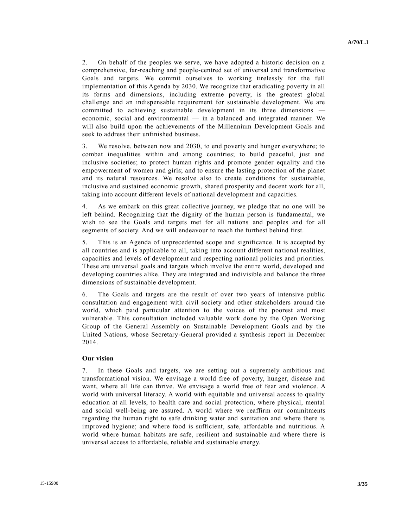2. On behalf of the peoples we serve, we have adopted a historic decision on a comprehensive, far-reaching and people-centred set of universal and transformative Goals and targets. We commit ourselves to working tirelessly for the full implementation of this Agenda by 2030. We recognize that eradicating poverty in all its forms and dimensions, including extreme poverty, is the greatest global challenge and an indispensable requirement for sustainable development. We are committed to achieving sustainable development in its three dimensions economic, social and environmental — in a balanced and integrated manner. We will also build upon the achievements of the Millennium Development Goals and seek to address their unfinished business.

3. We resolve, between now and 2030, to end poverty and hunger everywhere; to combat inequalities within and among countries; to build peaceful, just and inclusive societies; to protect human rights and promote gender equality and the empowerment of women and girls; and to ensure the lasting protection of the planet and its natural resources. We resolve also to create conditions for sustainable, inclusive and sustained economic growth, shared prosperity and decent work for all, taking into account different levels of national development and capacities.

4. As we embark on this great collective journey, we pledge that no one will be left behind. Recognizing that the dignity of the human person is fundamental, we wish to see the Goals and targets met for all nations and peoples and for all segments of society. And we will endeavour to reach the furthest behind first.

5. This is an Agenda of unprecedented scope and significance. It is accepted by all countries and is applicable to all, taking into account different na tional realities, capacities and levels of development and respecting national policies and priorities. These are universal goals and targets which involve the entire world, developed and developing countries alike. They are integrated and indivisible and balance the three dimensions of sustainable development.

6. The Goals and targets are the result of over two years of intensive public consultation and engagement with civil society and other stakeholders around the world, which paid particular attention to the voices of the poorest and most vulnerable. This consultation included valuable work done by the Open Working Group of the General Assembly on Sustainable Development Goals and by the United Nations, whose Secretary-General provided a synthesis report in December 2014.

# **Our vision**

7. In these Goals and targets, we are setting out a supremely ambitious and transformational vision. We envisage a world free of poverty, hunger, disease and want, where all life can thrive. We envisage a world free of fear and violence. A world with universal literacy. A world with equitable and universal access to quality education at all levels, to health care and social protection, where physical, mental and social well-being are assured. A world where we reaffirm our commitments regarding the human right to safe drinking water and sanitation and where there is improved hygiene; and where food is sufficient, safe, affordable and nutritious. A world where human habitats are safe, resilient and sustainable and where there is universal access to affordable, reliable and sustainable energy.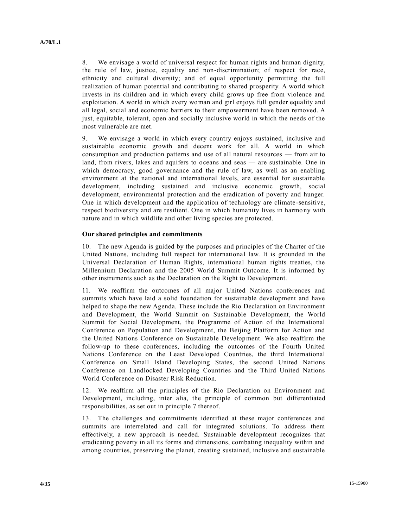8. We envisage a world of universal respect for human rights and human dignity, the rule of law, justice, equality and non-discrimination; of respect for race, ethnicity and cultural diversity; and of equal opportunity permitting the full realization of human potential and contributing to shared prosperity. A world which invests in its children and in which every child grows up free from violence and exploitation. A world in which every woman and girl enjoys full gender equality and all legal, social and economic barriers to their empowerment have been removed. A just, equitable, tolerant, open and socially inclusive world in which the needs of the most vulnerable are met.

9. We envisage a world in which every country enjoys sustained, inclusive and sustainable economic growth and decent work for all. A world in which consumption and production patterns and use of all natural resources — from air to land, from rivers, lakes and aquifers to oceans and seas — are sustainable. One in which democracy, good governance and the rule of law, as well as an enabling environment at the national and international levels, are essential for sustainable development, including sustained and inclusive economic growth, social development, environmental protection and the eradication of poverty and hunger. One in which development and the application of technology are climate -sensitive, respect biodiversity and are resilient. One in which humanity lives in harmo ny with nature and in which wildlife and other living species are protected.

# **Our shared principles and commitments**

10. The new Agenda is guided by the purposes and principles of the Charter of the United Nations, including full respect for international law. It is grounded in the Universal Declaration of Human Rights, international human rights treaties, the Millennium Declaration and the 2005 World Summit Outcome. It is informed by other instruments such as the Declaration on the Right to Development.

11. We reaffirm the outcomes of all major United Nations conferences and summits which have laid a solid foundation for sustainable development and have helped to shape the new Agenda. These include the Rio Declaration on Environment and Development, the World Summit on Sustainable Development, the World Summit for Social Development, the Programme of Action of the International Conference on Population and Development, the Beijing Platform for Action and the United Nations Conference on Sustainable Development. We also reaffirm the follow-up to these conferences, including the outcomes of the Fourth United Nations Conference on the Least Developed Countries, the third International Conference on Small Island Developing States, the second United Nations Conference on Landlocked Developing Countries and the Third United Nations World Conference on Disaster Risk Reduction.

12. We reaffirm all the principles of the Rio Declaration on Environment and Development, including, inter alia, the principle of common but differentiated responsibilities, as set out in principle 7 thereof.

13. The challenges and commitments identified at these major conferences and summits are interrelated and call for integrated solutions. To address them effectively, a new approach is needed. Sustainable development recognizes that eradicating poverty in all its forms and dimensions, combating inequality within and among countries, preserving the planet, creating sustained, inclusive and sustainable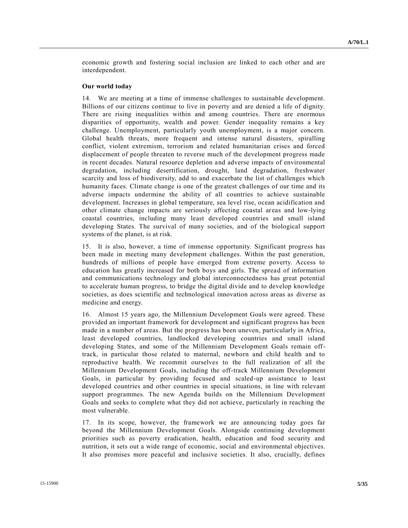economic growth and fostering social inclusion are linked to each other and are interdependent.

#### **Our world today**

14. We are meeting at a time of immense challenges to sustainable development. Billions of our citizens continue to live in poverty and are denied a life of dignity. There are rising inequalities within and among countries. There are enormous disparities of opportunity, wealth and power. Gender inequality remains a key challenge. Unemployment, particularly youth unemployment, is a major concern. Global health threats, more frequent and intense natural disasters, spiralling conflict, violent extremism, terrorism and related humanitarian crises and forced displacement of people threaten to reverse much of the development progress made in recent decades. Natural resource depletion and adverse impacts of environmental degradation, including desertification, drought, land degradation, freshwater scarcity and loss of biodiversity, add to and exacerbate the list of challenges which humanity faces. Climate change is one of the greatest challenges of our time and its adverse impacts undermine the ability of all countries to achieve sustainable development. Increases in global temperature, sea level rise, ocean acidification and other climate change impacts are seriously affecting coastal areas and low-lying coastal countries, including many least developed countries and small island developing States. The survival of many societies, and of the biological support systems of the planet, is at risk.

15. It is also, however, a time of immense opportunity. Significant progress has been made in meeting many development challenges. Within the past generation, hundreds of millions of people have emerged from extreme poverty. Access to education has greatly increased for both boys and girls. The spread of information and communications technology and global interconnectedness has great potential to accelerate human progress, to bridge the digital divide and to develop knowledge societies, as does scientific and technological innovation across areas as diverse as medicine and energy.

16. Almost 15 years ago, the Millennium Development Goals were agreed. These provided an important framework for development and significant progress has been made in a number of areas. But the progress has been uneven, particularly in Africa, least developed countries, landlocked developing countries and small island developing States, and some of the Millennium Development Goals remain offtrack, in particular those related to maternal, newborn and child health and to reproductive health. We recommit ourselves to the full realization of all the Millennium Development Goals, including the off-track Millennium Development Goals, in particular by providing focused and scaled-up assistance to least developed countries and other countries in special situations, in line with relevant support programmes. The new Agenda builds on the Millennium Development Goals and seeks to complete what they did not achieve, particularly in reaching the most vulnerable.

17. In its scope, however, the framework we are announcing today goes far beyond the Millennium Development Goals. Alongside continuing development priorities such as poverty eradication, health, education and food security and nutrition, it sets out a wide range of economic, social and environmental objectives. It also promises more peaceful and inclusive societies. It also, crucially, defines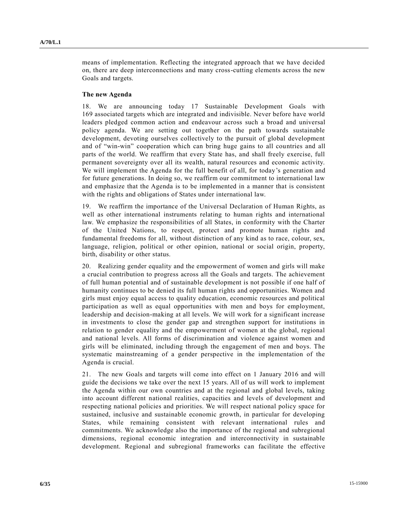means of implementation. Reflecting the integrated approach that we have decided on, there are deep interconnections and many cross-cutting elements across the new Goals and targets.

# **The new Agenda**

18. We are announcing today 17 Sustainable Development Goals with 169 associated targets which are integrated and indivisible. Never before have world leaders pledged common action and endeavour across such a broad and universal policy agenda. We are setting out together on the path towards sustainable development, devoting ourselves collectively to the pursuit of global development and of "win-win" cooperation which can bring huge gains to all countries and all parts of the world. We reaffirm that every State has, and shall freely exercise, full permanent sovereignty over all its wealth, natural resources and economic activity. We will implement the Agenda for the full benefit of all, for today's generation and for future generations. In doing so, we reaffirm our commitment to international law and emphasize that the Agenda is to be implemented in a manner that is consistent with the rights and obligations of States under international law.

19. We reaffirm the importance of the Universal Declaration of Human Rights, as well as other international instruments relating to human rights and international law. We emphasize the responsibilities of all States, in conformity with the Charter of the United Nations, to respect, protect and promote human rights and fundamental freedoms for all, without distinction of any kind as to race, colour, sex, language, religion, political or other opinion, national or social origin, property, birth, disability or other status.

20. Realizing gender equality and the empowerment of women and girls will make a crucial contribution to progress across all the Goals and targets. The achievement of full human potential and of sustainable development is not possible if one half of humanity continues to be denied its full human rights and opportunities. Women and girls must enjoy equal access to quality education, economic resources and political participation as well as equal opportunities with men and boys for employment, leadership and decision-making at all levels. We will work for a significant increase in investments to close the gender gap and strengthen support for institutions in relation to gender equality and the empowerment of women at the global, regional and national levels. All forms of discrimination and violence against women and girls will be eliminated, including through the engagement of men and boys. The systematic mainstreaming of a gender perspective in the implementation of the Agenda is crucial.

21. The new Goals and targets will come into effect on 1 January 2016 and will guide the decisions we take over the next 15 years. All of us will work to implement the Agenda within our own countries and at the regional and global levels, taking into account different national realities, capacities and levels of development and respecting national policies and priorities. We will respect national policy space for sustained, inclusive and sustainable economic growth, in particular for developing States, while remaining consistent with relevant international rules and commitments. We acknowledge also the importance of the regional and subregional dimensions, regional economic integration and interconnectivity in sustainable development. Regional and subregional frameworks can facilitate the effective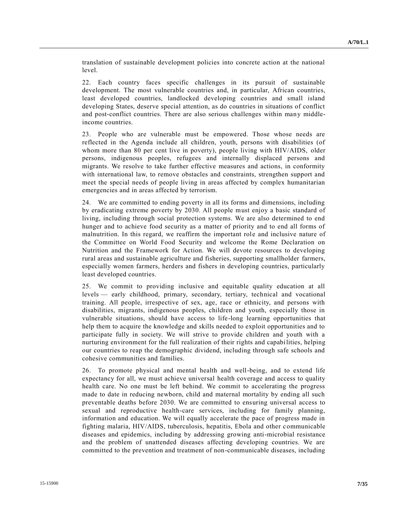translation of sustainable development policies into concrete action at the national level.

22. Each country faces specific challenges in its pursuit of sustainable development. The most vulnerable countries and, in particular, African countries, least developed countries, landlocked developing countries and small island developing States, deserve special attention, as do countries in situations of conflict and post-conflict countries. There are also serious challenges within many middleincome countries.

23. People who are vulnerable must be empowered. Those whose needs are reflected in the Agenda include all children, youth, persons with disabilities (of whom more than 80 per cent live in poverty), people living with HIV/AIDS, older persons, indigenous peoples, refugees and internally displaced persons and migrants. We resolve to take further effective measures and actions, in conformity with international law, to remove obstacles and constraints, strengthen support and meet the special needs of people living in areas affected by complex humanitarian emergencies and in areas affected by terrorism.

24. We are committed to ending poverty in all its forms and dimensions, including by eradicating extreme poverty by 2030. All people must enjoy a basic standard of living, including through social protection systems. We are also determined to end hunger and to achieve food security as a matter of priority and to end all forms of malnutrition. In this regard, we reaffirm the important role and inclusive nature of the Committee on World Food Security and welcome the Rome Declaration on Nutrition and the Framework for Action. We will devote resources to developing rural areas and sustainable agriculture and fisheries, supporting smallholder farmers, especially women farmers, herders and fishers in developing countries, particularly least developed countries.

25. We commit to providing inclusive and equitable quality education at all levels — early childhood, primary, secondary, tertiary, technical and vocational training. All people, irrespective of sex, age, race or ethnicity, and persons with disabilities, migrants, indigenous peoples, children and youth, especially those in vulnerable situations, should have access to life-long learning opportunities that help them to acquire the knowledge and skills needed to exploit opportunities and to participate fully in society. We will strive to provide children and youth with a nurturing environment for the full realization of their rights and capabilities, helping our countries to reap the demographic dividend, including through safe schools and cohesive communities and families.

26. To promote physical and mental health and well-being, and to extend life expectancy for all, we must achieve universal health coverage and access to quality health care. No one must be left behind. We commit to accelerating the progress made to date in reducing newborn, child and maternal mortality by ending all such preventable deaths before 2030. We are committed to ensuring universal access to sexual and reproductive health-care services, including for family planning, information and education. We will equally accelerate the pace of progress made in fighting malaria, HIV/AIDS, tuberculosis, hepatitis, Ebola and other communicable diseases and epidemics, including by addressing growing anti-microbial resistance and the problem of unattended diseases affecting developing countries. We are committed to the prevention and treatment of non-communicable diseases, including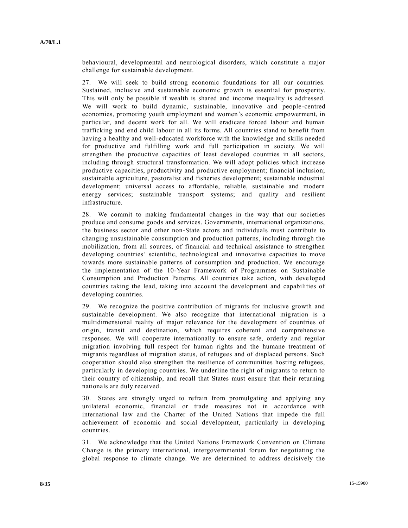behavioural, developmental and neurological disorders, which constitute a major challenge for sustainable development.

27. We will seek to build strong economic foundations for all our countries. Sustained, inclusive and sustainable economic growth is essential for prosperity. This will only be possible if wealth is shared and income inequality is addressed. We will work to build dynamic, sustainable, innovative and people -centred economies, promoting youth employment and women's economic empowerment, in particular, and decent work for all. We will eradicate forced labour and human trafficking and end child labour in all its forms. All countries stand to benefit from having a healthy and well-educated workforce with the knowledge and skills needed for productive and fulfilling work and full participation in society. We will strengthen the productive capacities of least developed countries in all sectors, including through structural transformation. We will adopt policies which increase productive capacities, productivity and productive employment; financial inclusion; sustainable agriculture, pastoralist and fisheries development; sustainable industrial development; universal access to affordable, reliable, sustainable and modern energy services; sustainable transport systems; and quality and resilient infrastructure.

28. We commit to making fundamental changes in the way that our societies produce and consume goods and services. Governments, international organizations, the business sector and other non-State actors and individuals must contribute to changing unsustainable consumption and production patterns, including through the mobilization, from all sources, of financial and technical assistance to strengthen developing countries' scientific, technological and innovative capacities to move towards more sustainable patterns of consumption and production. We encourage the implementation of the 10-Year Framework of Programmes on Sustainable Consumption and Production Patterns. All countries take action, with deve loped countries taking the lead, taking into account the development and capabilities of developing countries.

29. We recognize the positive contribution of migrants for inclusive growth and sustainable development. We also recognize that international migration is a multidimensional reality of major relevance for the development of countries of origin, transit and destination, which requires coherent and comprehensive responses. We will cooperate internationally to ensure safe, orderly and regular migration involving full respect for human rights and the humane treatment of migrants regardless of migration status, of refugees and of displaced persons. Such cooperation should also strengthen the resilience of communities hosting refugees, particularly in developing countries. We underline the right of migrants to return to their country of citizenship, and recall that States must ensure that their returning nationals are duly received.

30. States are strongly urged to refrain from promulgating and applying an y unilateral economic, financial or trade measures not in accordance with international law and the Charter of the United Nations that impede the full achievement of economic and social development, particularly in developing countries.

31. We acknowledge that the United Nations Framework Convention on Climate Change is the primary international, intergovernmental forum for negotiating the global response to climate change. We are determined to address decisively the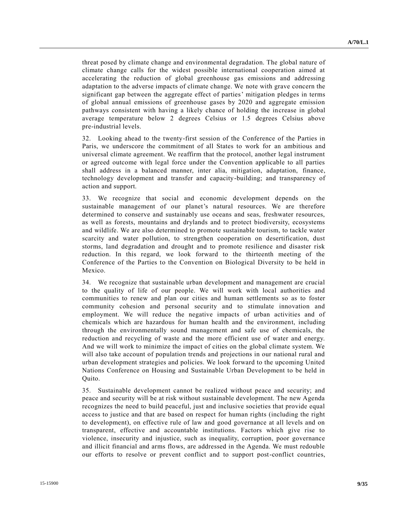threat posed by climate change and environmental degradation. The global nature of climate change calls for the widest possible international cooperation aimed at accelerating the reduction of global greenhouse gas emissions and addressing adaptation to the adverse impacts of climate change. We note with grave concern the significant gap between the aggregate effect of parties' mitigation pledges in terms of global annual emissions of greenhouse gases by 2020 and aggregate emission pathways consistent with having a likely chance of holding the increase in global average temperature below 2 degrees Celsius or 1.5 degrees Celsius above pre-industrial levels.

32. Looking ahead to the twenty-first session of the Conference of the Parties in Paris, we underscore the commitment of all States to work for an ambitious and universal climate agreement. We reaffirm that the protocol, another legal instrument or agreed outcome with legal force under the Convention applicable to all parties shall address in a balanced manner, inter alia, mitigation, adaptation, finance, technology development and transfer and capacity-building; and transparency of action and support.

33. We recognize that social and economic development depends on the sustainable management of our planet's natural resources. We are therefore determined to conserve and sustainably use oceans and seas, freshwater resources, as well as forests, mountains and drylands and to protect biodiversity, ecosystems and wildlife. We are also determined to promote sustainable tourism, to tackle water scarcity and water pollution, to strengthen cooperation on desertification, dust storms, land degradation and drought and to promote resilience and disaster risk reduction. In this regard, we look forward to the thirteenth meeting of the Conference of the Parties to the Convention on Biological Diversity to be held in Mexico.

34. We recognize that sustainable urban development and management are crucial to the quality of life of our people. We will work with local authorities and communities to renew and plan our cities and human settlements so as to foster community cohesion and personal security and to stimulate innovation and employment. We will reduce the negative impacts of urban activities and of chemicals which are hazardous for human health and the environment, including through the environmentally sound management and safe use of chemicals, the reduction and recycling of waste and the more efficient use of water and energy. And we will work to minimize the impact of cities on the global climate system. We will also take account of population trends and projections in our national rural and urban development strategies and policies. We look forward to the upcoming United Nations Conference on Housing and Sustainable Urban Development to be held in Quito.

35. Sustainable development cannot be realized without peace and security; and peace and security will be at risk without sustainable development. The new Agenda recognizes the need to build peaceful, just and inclusive societies that provide equal access to justice and that are based on respect for human rights (including the right to development), on effective rule of law and good governance at all levels and on transparent, effective and accountable institutions. Factors which give rise to violence, insecurity and injustice, such as inequality, corruption, poor governance and illicit financial and arms flows, are addressed in the Agenda. We must redouble our efforts to resolve or prevent conflict and to support post-conflict countries,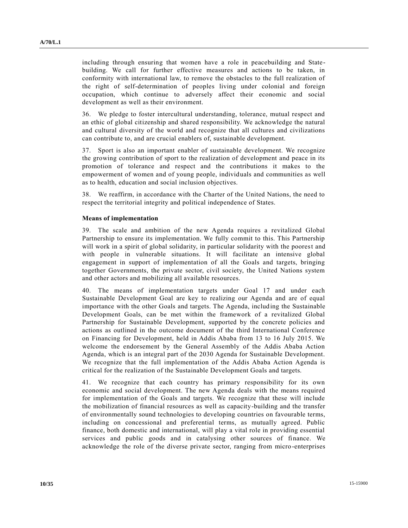including through ensuring that women have a role in peacebuilding and Statebuilding. We call for further effective measures and actions to be taken, in conformity with international law, to remove the obstacles to the full realization of the right of self-determination of peoples living under colonial and foreign occupation, which continue to adversely affect their economic and social development as well as their environment.

36. We pledge to foster intercultural understanding, tolerance, mutual respect and an ethic of global citizenship and shared responsibility. We acknowledge the natural and cultural diversity of the world and recognize that all cultures and civilizations can contribute to, and are crucial enablers of, sustainable development.

37. Sport is also an important enabler of sustainable development. We recognize the growing contribution of sport to the realization of development and peace in its promotion of tolerance and respect and the contributions it makes to the empowerment of women and of young people, individuals and communities as well as to health, education and social inclusion objectives.

38. We reaffirm, in accordance with the Charter of the United Nations, the need to respect the territorial integrity and political independence of States.

# **Means of implementation**

39. The scale and ambition of the new Agenda requires a revitalized Global Partnership to ensure its implementation. We fully commit to this. This Partnership will work in a spirit of global solidarity, in particular solidarity with the poorest and with people in vulnerable situations. It will facilitate an intensive global engagement in support of implementation of all the Goals and targets, bringing together Governments, the private sector, civil society, the United Nations system and other actors and mobilizing all available resources.

40. The means of implementation targets under Goal 17 and under each Sustainable Development Goal are key to realizing our Agenda and are of equal importance with the other Goals and targets. The Agenda, including the Sustainable Development Goals, can be met within the framework of a revitalized Global Partnership for Sustainable Development, supported by the concrete policies and actions as outlined in the outcome document of the third International Conference on Financing for Development, held in Addis Ababa from 13 to 16 July 2015. We welcome the endorsement by the General Assembly of the Addis Ababa Action Agenda, which is an integral part of the 2030 Agenda for Sustainable Development. We recognize that the full implementation of the Addis Ababa Action Agenda is critical for the realization of the Sustainable Development Goals and targets.

41. We recognize that each country has primary responsibility for its own economic and social development. The new Agenda deals with the means required for implementation of the Goals and targets. We recognize that these will include the mobilization of financial resources as well as capacity-building and the transfer of environmentally sound technologies to developing countries on favourable terms, including on concessional and preferential terms, as mutually agreed. Public finance, both domestic and international, will play a vital role in providing essential services and public goods and in catalysing other sources of finance. We acknowledge the role of the diverse private sector, ranging from micro-enterprises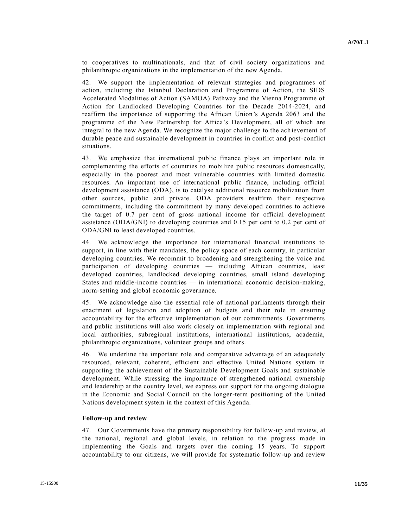to cooperatives to multinationals, and that of civil society organizations and philanthropic organizations in the implementation of the new Agenda.

42. We support the implementation of relevant strategies and programmes of action, including the Istanbul Declaration and Programme of Action, the SIDS Accelerated Modalities of Action (SAMOA) Pathway and the Vienna Programme of Action for Landlocked Developing Countries for the Decade 2014-2024, and reaffirm the importance of supporting the African Union's Agenda 2063 and the programme of the New Partnership for Africa's Development, all of which are integral to the new Agenda. We recognize the major challenge to the achievement of durable peace and sustainable development in countries in conflict and post-conflict situations.

43. We emphasize that international public finance plays an important role in complementing the efforts of countries to mobilize public resources domestically, especially in the poorest and most vulnerable countries with limited domestic resources. An important use of international public finance, including official development assistance (ODA), is to catalyse additional resource mobilization from other sources, public and private. ODA providers reaffirm their respective commitments, including the commitment by many developed countries to achieve the target of 0.7 per cent of gross national income for official development assistance (ODA/GNI) to developing countries and 0.15 per cent to 0.2 per cent of ODA/GNI to least developed countries.

44. We acknowledge the importance for international financial institutions to support, in line with their mandates, the policy space of each country, in particular developing countries. We recommit to broadening and strengthening the voice and participation of developing countries — including African countries, least developed countries, landlocked developing countries, small island developing States and middle-income countries — in international economic decision-making, norm-setting and global economic governance.

45. We acknowledge also the essential role of national parliaments through their enactment of legislation and adoption of budgets and their role in ensuring accountability for the effective implementation of our commitments. Governments and public institutions will also work closely on implementation with regional and local authorities, subregional institutions, international institutions, academia, philanthropic organizations, volunteer groups and others.

46. We underline the important role and comparative advantage of an adequately resourced, relevant, coherent, efficient and effective United Nations system in supporting the achievement of the Sustainable Development Goals and sustainable development. While stressing the importance of strengthened national ownership and leadership at the country level, we express our support for the ongoing dialogue in the Economic and Social Council on the longer-term positioning of the United Nations development system in the context of this Agenda.

# **Follow-up and review**

47. Our Governments have the primary responsibility for follow-up and review, at the national, regional and global levels, in relation to the progress made in implementing the Goals and targets over the coming 15 years. To support accountability to our citizens, we will provide for systematic follow-up and review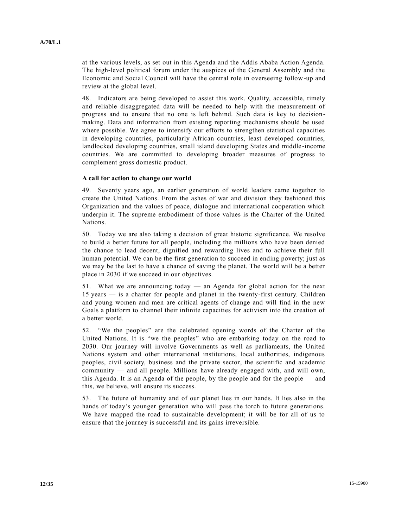at the various levels, as set out in this Agenda and the Addis Ababa Action Agenda. The high-level political forum under the auspices of the General Assembly and the Economic and Social Council will have the central role in overseeing follow-up and review at the global level.

48. Indicators are being developed to assist this work. Quality, accessible, timely and reliable disaggregated data will be needed to help with the measurement of progress and to ensure that no one is left behind. Such data is key to decisionmaking. Data and information from existing reporting mechanisms should be used where possible. We agree to intensify our efforts to strengthen statistical capacities in developing countries, particularly African countries, least developed countries, landlocked developing countries, small island developing States and middle -income countries. We are committed to developing broader measures of progress to complement gross domestic product.

#### **A call for action to change our world**

49. Seventy years ago, an earlier generation of world leaders came together to create the United Nations. From the ashes of war and division they fashioned this Organization and the values of peace, dialogue and international cooperation which underpin it. The supreme embodiment of those values is the Charter of the United Nations.

50. Today we are also taking a decision of great historic significance. We resolve to build a better future for all people, including the millions who have been denied the chance to lead decent, dignified and rewarding lives and to achieve their full human potential. We can be the first generation to succeed in ending poverty; just as we may be the last to have a chance of saving the planet. The world will be a better place in 2030 if we succeed in our objectives.

51. What we are announcing today — an Agenda for global action for the next 15 years — is a charter for people and planet in the twenty-first century. Children and young women and men are critical agents of change and will find in the new Goals a platform to channel their infinite capacities for activism into the creation of a better world.

52. "We the peoples" are the celebrated opening words of the Charter of the United Nations. It is "we the peoples" who are embarking today on the road to 2030. Our journey will involve Governments as well as parliaments, the United Nations system and other international institutions, local authorities, indigenous peoples, civil society, business and the private sector, the scientific and academic community — and all people. Millions have already engaged with, and will own, this Agenda. It is an Agenda of the people, by the people and for the people — and this, we believe, will ensure its success.

53. The future of humanity and of our planet lies in our hands. It lies also in the hands of today's younger generation who will pass the torch to future generations. We have mapped the road to sustainable development; it will be for all of us to ensure that the journey is successful and its gains irreversible.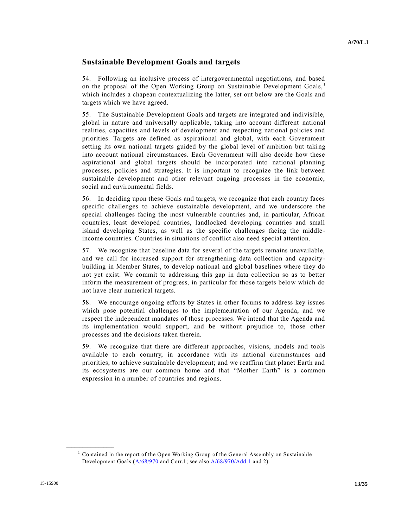# **Sustainable Development Goals and targets**

54. Following an inclusive process of intergovernmental negotiations, and based on the proposal of the Open Working Group on Sustainable Development Goals, which includes a chapeau contextualizing the latter, set out below are the Goals and targets which we have agreed.

55. The Sustainable Development Goals and targets are integrated and indivisible, global in nature and universally applicable, taking into account different national realities, capacities and levels of development and respecting national policies and priorities. Targets are defined as aspirational and global, with each Government setting its own national targets guided by the global level of ambition but taking into account national circumstances. Each Government will also decide how these aspirational and global targets should be incorporated into national planning processes, policies and strategies. It is important to recognize the link between sustainable development and other relevant ongoing processes in the economic, social and environmental fields.

56. In deciding upon these Goals and targets, we recognize that each country faces specific challenges to achieve sustainable development, and we underscore the special challenges facing the most vulnerable countries and, in particular, African countries, least developed countries, landlocked developing countries and small island developing States, as well as the specific challenges facing the middle income countries. Countries in situations of conflict also need special attention.

57. We recognize that baseline data for several of the targets remains unavailable, and we call for increased support for strengthening data collection and capacitybuilding in Member States, to develop national and global baselines where they do not yet exist. We commit to addressing this gap in data collection so as to better inform the measurement of progress, in particular for those targets below which do not have clear numerical targets.

58. We encourage ongoing efforts by States in other forums to address key issues which pose potential challenges to the implementation of our Agenda, and we respect the independent mandates of those processes. We intend that the Agenda and its implementation would support, and be without prejudice to, those other processes and the decisions taken therein.

59. We recognize that there are different approaches, visions, models and tools available to each country, in accordance with its national circumstances and priorities, to achieve sustainable development; and we reaffirm that planet Earth and its ecosystems are our common home and that "Mother Earth" is a common expression in a number of countries and regions.

**\_\_\_\_\_\_\_\_\_\_\_\_\_\_\_\_\_\_**

 $1$  Contained in the report of the Open Working Group of the General Assembly on Sustainable Development Goals [\(A/68/970](http://undocs.org/A/68/970) and Corr.1; see als[o A/68/970/Add.1](http://undocs.org/A/68/970/Add.1) and 2).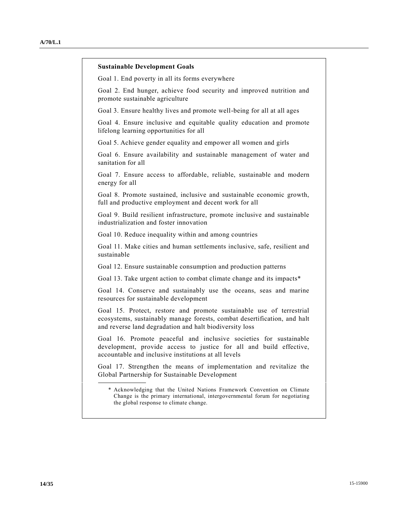| <b>Sustainable Development Goals</b>                                                                                                                                                                        |
|-------------------------------------------------------------------------------------------------------------------------------------------------------------------------------------------------------------|
| Goal 1. End poverty in all its forms everywhere                                                                                                                                                             |
| Goal 2. End hunger, achieve food security and improved nutrition and<br>promote sustainable agriculture                                                                                                     |
| Goal 3. Ensure healthy lives and promote well-being for all at all ages                                                                                                                                     |
| Goal 4. Ensure inclusive and equitable quality education and promote<br>lifelong learning opportunities for all                                                                                             |
| Goal 5. Achieve gender equality and empower all women and girls                                                                                                                                             |
| Goal 6. Ensure availability and sustainable management of water and<br>sanitation for all                                                                                                                   |
| Goal 7. Ensure access to affordable, reliable, sustainable and modern<br>energy for all                                                                                                                     |
| Goal 8. Promote sustained, inclusive and sustainable economic growth,<br>full and productive employment and decent work for all                                                                             |
| Goal 9. Build resilient infrastructure, promote inclusive and sustainable<br>industrialization and foster innovation                                                                                        |
| Goal 10. Reduce inequality within and among countries                                                                                                                                                       |
| Goal 11. Make cities and human settlements inclusive, safe, resilient and<br>sustainable                                                                                                                    |
| Goal 12. Ensure sustainable consumption and production patterns                                                                                                                                             |
| Goal 13. Take urgent action to combat climate change and its impacts*                                                                                                                                       |
| Goal 14. Conserve and sustainably use the oceans, seas and marine<br>resources for sustainable development                                                                                                  |
| Goal 15. Protect, restore and promote sustainable use of terrestrial<br>ecosystems, sustainably manage forests, combat desertification, and halt<br>and reverse land degradation and halt biodiversity loss |
| Goal 16. Promote peaceful and inclusive societies for sustainable<br>development, provide access to justice for all and build effective,<br>accountable and inclusive institutions at all levels            |
| Goal 17. Strengthen the means of implementation and revitalize the<br>Global Partnership for Sustainable Development                                                                                        |
| * Acknowledging that the United Nations Framework Convention on Climate<br>Change is the primary international, intergovernmental forum for negotiating<br>the global response to climate change.           |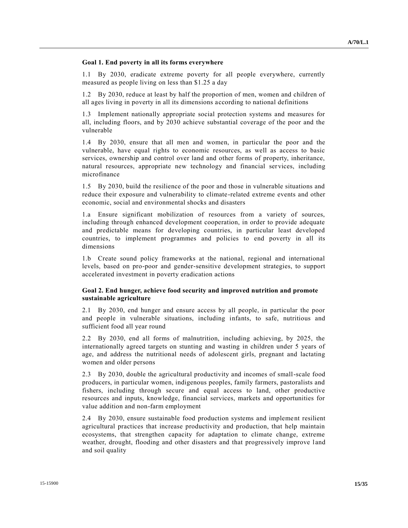# **Goal 1. End poverty in all its forms everywhere**

1.1 By 2030, eradicate extreme poverty for all people everywhere, currently measured as people living on less than \$1.25 a day

1.2 By 2030, reduce at least by half the proportion of men, women and children of all ages living in poverty in all its dimensions according to national definitions

1.3 Implement nationally appropriate social protection systems and measures for all, including floors, and by 2030 achieve substantial coverage of the poor and the vulnerable

1.4 By 2030, ensure that all men and women, in particular the poor and the vulnerable, have equal rights to economic resources, as well as access to basic services, ownership and control over land and other forms of property, inheritance, natural resources, appropriate new technology and financial services, including microfinance

1.5 By 2030, build the resilience of the poor and those in vulnerable situations and reduce their exposure and vulnerability to climate-related extreme events and other economic, social and environmental shocks and disasters

1.a Ensure significant mobilization of resources from a variety of sources, including through enhanced development cooperation, in order to provide adequate and predictable means for developing countries, in particular least developed countries, to implement programmes and policies to end poverty in all its dimensions

1.b Create sound policy frameworks at the national, regional and international levels, based on pro-poor and gender-sensitive development strategies, to support accelerated investment in poverty eradication actions

# **Goal 2. End hunger, achieve food security and improved nutrition and promote sustainable agriculture**

2.1 By 2030, end hunger and ensure access by all people, in particular the poor and people in vulnerable situations, including infants, to safe, nutritious and sufficient food all year round

2.2 By 2030, end all forms of malnutrition, including achieving, by 2025, the internationally agreed targets on stunting and wasting in children under 5 years of age, and address the nutritional needs of adolescent girls, pregnant and lactating women and older persons

2.3 By 2030, double the agricultural productivity and incomes of small-scale food producers, in particular women, indigenous peoples, family farmers, pastoralists and fishers, including through secure and equal access to land, other productive resources and inputs, knowledge, financial services, markets and opportunities for value addition and non-farm employment

2.4 By 2030, ensure sustainable food production systems and implement resilient agricultural practices that increase productivity and production, that help maintain ecosystems, that strengthen capacity for adaptation to climate change, extreme weather, drought, flooding and other disasters and that progressively improve land and soil quality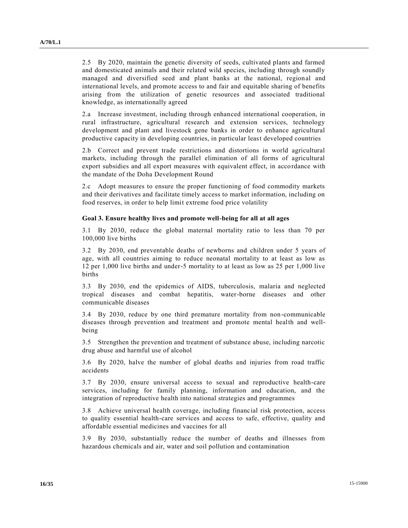2.5 By 2020, maintain the genetic diversity of seeds, cultivated plants and farmed and domesticated animals and their related wild species, including through soundly managed and diversified seed and plant banks at the national, regional and international levels, and promote access to and fair and equitable sharing of benefits arising from the utilization of genetic resources and associated traditional knowledge, as internationally agreed

2.a Increase investment, including through enhanced international cooperation, in rural infrastructure, agricultural research and extension services, technology development and plant and livestock gene banks in order to enhance agricultural productive capacity in developing countries, in particular least developed countries

2.b Correct and prevent trade restrictions and distortions in world agricultural markets, including through the parallel elimination of all forms of agricultural export subsidies and all export measures with equivalent effect, in accordance with the mandate of the Doha Development Round

2.c Adopt measures to ensure the proper functioning of food commodity markets and their derivatives and facilitate timely access to market information, including on food reserves, in order to help limit extreme food price volatility

### **Goal 3. Ensure healthy lives and promote well-being for all at all ages**

3.1 By 2030, reduce the global maternal mortality ratio to less than 70 per 100,000 live births

3.2 By 2030, end preventable deaths of newborns and children under 5 years of age, with all countries aiming to reduce neonatal mortality to at least as low as 12 per 1,000 live births and under-5 mortality to at least as low as 25 per 1,000 live births

3.3 By 2030, end the epidemics of AIDS, tuberculosis, malaria and neglected tropical diseases and combat hepatitis, water-borne diseases and other communicable diseases

3.4 By 2030, reduce by one third premature mortality from non-communicable diseases through prevention and treatment and promote mental health and wellbeing

3.5 Strengthen the prevention and treatment of substance abuse, including narcotic drug abuse and harmful use of alcohol

3.6 By 2020, halve the number of global deaths and injuries from road traffic accidents

3.7 By 2030, ensure universal access to sexual and reproductive health-care services, including for family planning, information and education, and the integration of reproductive health into national strategies and programmes

3.8 Achieve universal health coverage, including financial risk protection, access to quality essential health-care services and access to safe, effective, quality and affordable essential medicines and vaccines for all

3.9 By 2030, substantially reduce the number of deaths and illnesses from hazardous chemicals and air, water and soil pollution and contamination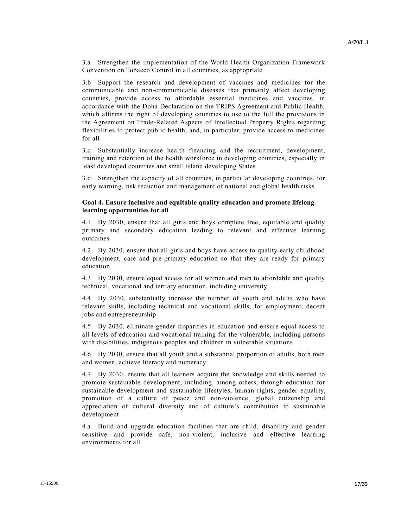3.a Strengthen the implementation of the World Health Organization Framework Convention on Tobacco Control in all countries, as appropriate

3.b Support the research and development of vaccines and medicines for the communicable and non-communicable diseases that primarily affect developing countries, provide access to affordable essential medicines and vaccines, in accordance with the Doha Declaration on the TRIPS Agreement and Public Health, which affirms the right of developing countries to use to the full the provisions in the Agreement on Trade-Related Aspects of Intellectual Property Rights regarding flexibilities to protect public health, and, in particular, provide access to medicines for all

3.c Substantially increase health financing and the recruitment, development, training and retention of the health workforce in developing countries, especially in least developed countries and small island developing States

3.d Strengthen the capacity of all countries, in particular developing countries, for early warning, risk reduction and management of national and global health risks

# **Goal 4. Ensure inclusive and equitable quality education and promote lifelong learning opportunities for all**

4.1 By 2030, ensure that all girls and boys complete free, equitable and quality primary and secondary education leading to relevant and effective learning outcomes

4.2 By 2030, ensure that all girls and boys have access to quality early childhood development, care and pre-primary education so that they are ready for primary education

4.3 By 2030, ensure equal access for all women and men to affordable and quality technical, vocational and tertiary education, including university

4.4 By 2030, substantially increase the number of youth and adults who have relevant skills, including technical and vocational skills, for employment, decent jobs and entrepreneurship

4.5 By 2030, eliminate gender disparities in education and ensure equal access to all levels of education and vocational training for the vulnerable, including persons with disabilities, indigenous peoples and children in vulnerable situations

4.6 By 2030, ensure that all youth and a substantial proportion of adults, both men and women, achieve literacy and numeracy

4.7 By 2030, ensure that all learners acquire the knowledge and skills needed to promote sustainable development, including, among others, through education for sustainable development and sustainable lifestyles, human rights, gender equality, promotion of a culture of peace and non-violence, global citizenship and appreciation of cultural diversity and of culture's contribution to sustainable development

4.a Build and upgrade education facilities that are child, disability and gender sensitive and provide safe, non-violent, inclusive and effective learning environments for all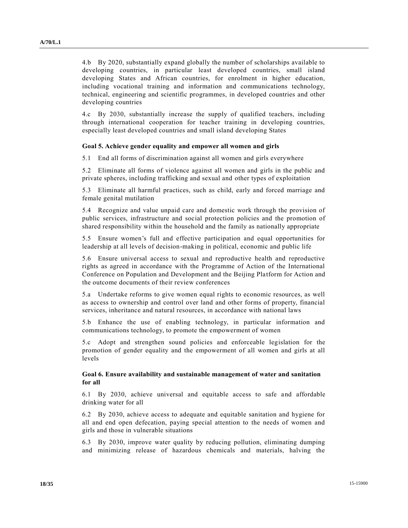4.b By 2020, substantially expand globally the number of scholarships available to developing countries, in particular least developed countries, small island developing States and African countries, for enrolment in higher education, including vocational training and information and communications technology, technical, engineering and scientific programmes, in developed countries and other developing countries

4.c By 2030, substantially increase the supply of qualified teachers, including through international cooperation for teacher training in developing countries, especially least developed countries and small island developing States

## **Goal 5. Achieve gender equality and empower all women and girls**

5.1 End all forms of discrimination against all women and girls everywhere

5.2 Eliminate all forms of violence against all women and girls in the public and private spheres, including trafficking and sexual and other types of exploitation

5.3 Eliminate all harmful practices, such as child, early and forced marriage and female genital mutilation

5.4 Recognize and value unpaid care and domestic work through the provision of public services, infrastructure and social protection policies and the promotion of shared responsibility within the household and the family as nationally appropriate

5.5 Ensure women's full and effective participation and equal opportunities for leadership at all levels of decision-making in political, economic and public life

5.6 Ensure universal access to sexual and reproductive health and reproductive rights as agreed in accordance with the Programme of Action of the International Conference on Population and Development and the Beijing Platform for Action and the outcome documents of their review conferences

5.a Undertake reforms to give women equal rights to economic resources, as well as access to ownership and control over land and other forms of property, financial services, inheritance and natural resources, in accordance with national laws

5.b Enhance the use of enabling technology, in particular information and communications technology, to promote the empowerment of women

5.c Adopt and strengthen sound policies and enforceable legislation for the promotion of gender equality and the empowerment of all women and girls at all levels

# **Goal 6. Ensure availability and sustainable management of water and sanitation for all**

6.1 By 2030, achieve universal and equitable access to safe and affordable drinking water for all

6.2 By 2030, achieve access to adequate and equitable sanitation and hygiene for all and end open defecation, paying special attention to the needs of women and girls and those in vulnerable situations

6.3 By 2030, improve water quality by reducing pollution, eliminating dumping and minimizing release of hazardous chemicals and materials, halving the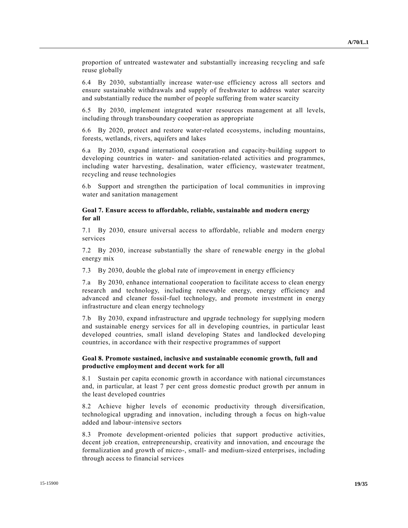proportion of untreated wastewater and substantially increasing recycling and safe reuse globally

6.4 By 2030, substantially increase water-use efficiency across all sectors and ensure sustainable withdrawals and supply of freshwater to address water scarcity and substantially reduce the number of people suffering from water scarcity

6.5 By 2030, implement integrated water resources management at all levels, including through transboundary cooperation as appropriate

6.6 By 2020, protect and restore water-related ecosystems, including mountains, forests, wetlands, rivers, aquifers and lakes

6.a By 2030, expand international cooperation and capacity-building support to developing countries in water- and sanitation-related activities and programmes, including water harvesting, desalination, water efficiency, wastewater treatment, recycling and reuse technologies

6.b Support and strengthen the participation of local communities in improving water and sanitation management

## **Goal 7. Ensure access to affordable, reliable, sustainable and modern energy for all**

7.1 By 2030, ensure universal access to affordable, reliable and modern energy services

7.2 By 2030, increase substantially the share of renewable energy in the global energy mix

7.3 By 2030, double the global rate of improvement in energy efficiency

7.a By 2030, enhance international cooperation to facilitate access to clean energy research and technology, including renewable energy, energy efficiency and advanced and cleaner fossil-fuel technology, and promote investment in energy infrastructure and clean energy technology

7.b By 2030, expand infrastructure and upgrade technology for supplying modern and sustainable energy services for all in developing countries, in particular least developed countries, small island developing States and landlocked develo ping countries, in accordance with their respective programmes of support

# **Goal 8. Promote sustained, inclusive and sustainable economic growth, full and productive employment and decent work for all**

8.1 Sustain per capita economic growth in accordance with national circumstances and, in particular, at least 7 per cent gross domestic product growth per annum in the least developed countries

8.2 Achieve higher levels of economic productivity through diversification, technological upgrading and innovation, including through a focus on high-value added and labour-intensive sectors

8.3 Promote development-oriented policies that support productive activities, decent job creation, entrepreneurship, creativity and innovation, and encourage the formalization and growth of micro-, small- and medium-sized enterprises, including through access to financial services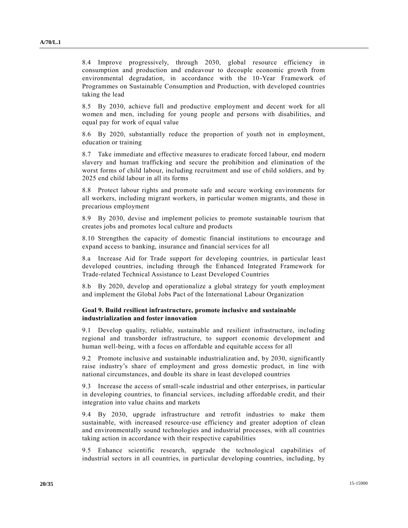8.4 Improve progressively, through 2030, global resource efficiency in consumption and production and endeavour to decouple economic growth from environmental degradation, in accordance with the 10-Year Framework of Programmes on Sustainable Consumption and Production, with developed countries taking the lead

8.5 By 2030, achieve full and productive employment and decent work for all women and men, including for young people and persons with disabilities, and equal pay for work of equal value

8.6 By 2020, substantially reduce the proportion of youth not in employment, education or training

8.7 Take immediate and effective measures to eradicate forced labour, end modern slavery and human trafficking and secure the prohibition and elimination of the worst forms of child labour, including recruitment and use of child soldiers, and by 2025 end child labour in all its forms

8.8 Protect labour rights and promote safe and secure working environments for all workers, including migrant workers, in particular women migrants, and those in precarious employment

8.9 By 2030, devise and implement policies to promote sustainable tourism that creates jobs and promotes local culture and products

8.10 Strengthen the capacity of domestic financial institutions to encourage and expand access to banking, insurance and financial services for all

8.a Increase Aid for Trade support for developing countries, in particular least developed countries, including through the Enhanced Integrated Framework for Trade-related Technical Assistance to Least Developed Countries

8.b By 2020, develop and operationalize a global strategy for youth employment and implement the Global Jobs Pact of the International Labour Organization

# **Goal 9. Build resilient infrastructure, promote inclusive and sustainable industrialization and foster innovation**

9.1 Develop quality, reliable, sustainable and resilient infrastructure, including regional and transborder infrastructure, to support economic development and human well-being, with a focus on affordable and equitable access for all

9.2 Promote inclusive and sustainable industrialization and, by 2030, significantly raise industry's share of employment and gross domestic product, in line with national circumstances, and double its share in least developed countries

9.3 Increase the access of small-scale industrial and other enterprises, in particular in developing countries, to financial services, including affordable credit, and their integration into value chains and markets

9.4 By 2030, upgrade infrastructure and retrofit industries to make them sustainable, with increased resource-use efficiency and greater adoption of clean and environmentally sound technologies and industrial processes, with all countries taking action in accordance with their respective capabilities

9.5 Enhance scientific research, upgrade the technological capabilities of industrial sectors in all countries, in particular developing countries, including, by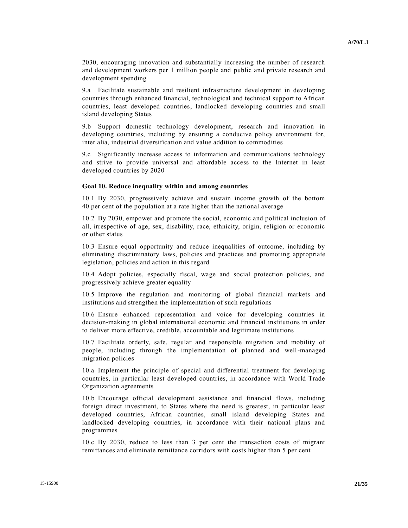2030, encouraging innovation and substantially increasing the number of research and development workers per 1 million people and public and private research and development spending

9.a Facilitate sustainable and resilient infrastructure development in developing countries through enhanced financial, technological and technical support to African countries, least developed countries, landlocked developing countries and small island developing States

9.b Support domestic technology development, research and innovation in developing countries, including by ensuring a conducive policy environment for, inter alia, industrial diversification and value addition to commodities

9.c Significantly increase access to information and communications technology and strive to provide universal and affordable access to the Internet in least developed countries by 2020

#### **Goal 10. Reduce inequality within and among countries**

10.1 By 2030, progressively achieve and sustain income growth of the bottom 40 per cent of the population at a rate higher than the national average

10.2 By 2030, empower and promote the social, economic and political inclusio n of all, irrespective of age, sex, disability, race, ethnicity, origin, religion or economic or other status

10.3 Ensure equal opportunity and reduce inequalities of outcome, including by eliminating discriminatory laws, policies and practices and promoting appropriate legislation, policies and action in this regard

10.4 Adopt policies, especially fiscal, wage and social protection policies, and progressively achieve greater equality

10.5 Improve the regulation and monitoring of global financial markets and institutions and strengthen the implementation of such regulations

10.6 Ensure enhanced representation and voice for developing countries in decision-making in global international economic and financial institutions in order to deliver more effective, credible, accountable and legitimate institutions

10.7 Facilitate orderly, safe, regular and responsible migration and mobility of people, including through the implementation of planned and well-managed migration policies

10.a Implement the principle of special and differential treatment for developing countries, in particular least developed countries, in accordance with World Trade Organization agreements

10.b Encourage official development assistance and financial flows, including foreign direct investment, to States where the need is greatest, in particular least developed countries, African countries, small island developing States and landlocked developing countries, in accordance with their national plans and programmes

10.c By 2030, reduce to less than 3 per cent the transaction costs of migrant remittances and eliminate remittance corridors with costs higher than 5 per cent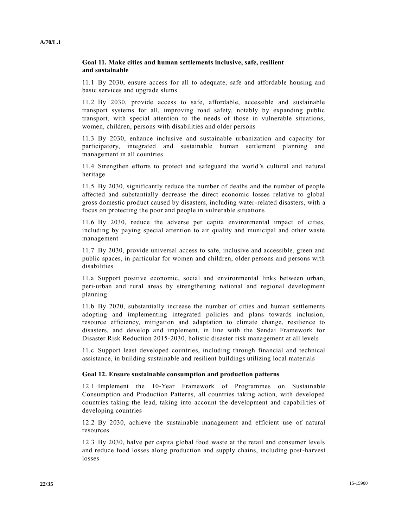# **Goal 11. Make cities and human settlements inclusive, safe, resilient and sustainable**

11.1 By 2030, ensure access for all to adequate, safe and affordable housing and basic services and upgrade slums

11.2 By 2030, provide access to safe, affordable, accessible and sustainable transport systems for all, improving road safety, notably by expanding public transport, with special attention to the needs of those in vulnerable situations, women, children, persons with disabilities and older persons

11.3 By 2030, enhance inclusive and sustainable urbanization and capacity for participatory, integrated and sustainable human settlement planning and management in all countries

11.4 Strengthen efforts to protect and safeguard the world's cultural and natural heritage

11.5 By 2030, significantly reduce the number of deaths and the number of people affected and substantially decrease the direct economic losses relative to global gross domestic product caused by disasters, including water-related disasters, with a focus on protecting the poor and people in vulnerable situations

11.6 By 2030, reduce the adverse per capita environmental impact of cities, including by paying special attention to air quality and municipal and other waste management

11.7 By 2030, provide universal access to safe, inclusive and accessible, green and public spaces, in particular for women and children, older persons and persons with disabilities

11.a Support positive economic, social and environmental links between urban, peri-urban and rural areas by strengthening national and regional development planning

11.b By 2020, substantially increase the number of cities and human settlements adopting and implementing integrated policies and plans towards inclusion, resource efficiency, mitigation and adaptation to climate change, resilience to disasters, and develop and implement, in line with the Sendai Framework for Disaster Risk Reduction 2015-2030, holistic disaster risk management at all levels

11.c Support least developed countries, including through financial and technical assistance, in building sustainable and resilient buildings utilizing local materials

# **Goal 12. Ensure sustainable consumption and production patterns**

12.1 Implement the 10-Year Framework of Programmes on Sustainable Consumption and Production Patterns, all countries taking action, with developed countries taking the lead, taking into account the development and capabilities of developing countries

12.2 By 2030, achieve the sustainable management and efficient use of natural resources

12.3 By 2030, halve per capita global food waste at the retail and consumer levels and reduce food losses along production and supply chains, including post-harvest losses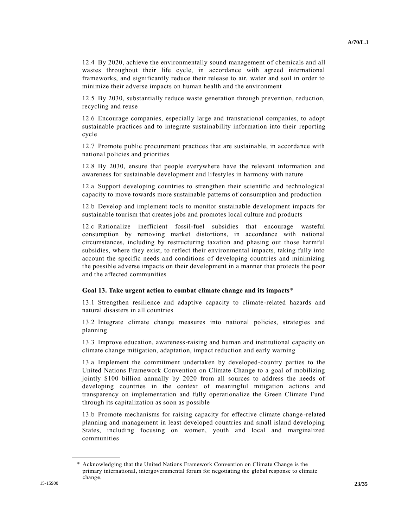12.4 By 2020, achieve the environmentally sound management of chemicals and all wastes throughout their life cycle, in accordance with agreed international frameworks, and significantly reduce their release to air, water and soil in order to minimize their adverse impacts on human health and the environment

12.5 By 2030, substantially reduce waste generation through prevention, reduction, recycling and reuse

12.6 Encourage companies, especially large and transnational companies, to adopt sustainable practices and to integrate sustainability information into their reporting cycle

12.7 Promote public procurement practices that are sustainable, in accordance with national policies and priorities

12.8 By 2030, ensure that people everywhere have the relevant information and awareness for sustainable development and lifestyles in harmony with nature

12.a Support developing countries to strengthen their scientific and technological capacity to move towards more sustainable patterns of consumption and production

12.b Develop and implement tools to monitor sustainable development impacts for sustainable tourism that creates jobs and promotes local culture and products

12.c Rationalize inefficient fossil-fuel subsidies that encourage wasteful consumption by removing market distortions, in accordance with national circumstances, including by restructuring taxation and phasing out those harmful subsidies, where they exist, to reflect their environmental impacts, taking fully into account the specific needs and conditions of developing countries and minimizing the possible adverse impacts on their development in a manner that protects the poor and the affected communities

#### **Goal 13. Take urgent action to combat climate change and its impacts**\*

13.1 Strengthen resilience and adaptive capacity to climate-related hazards and natural disasters in all countries

13.2 Integrate climate change measures into national policies, strategies and planning

13.3 Improve education, awareness-raising and human and institutional capacity on climate change mitigation, adaptation, impact reduction and early warning

13.a Implement the commitment undertaken by developed-country parties to the United Nations Framework Convention on Climate Change to a goal of mobilizing jointly \$100 billion annually by 2020 from all sources to address the needs of developing countries in the context of meaningful mitigation actions and transparency on implementation and fully operationalize the Green Climate Fund through its capitalization as soon as possible

13.b Promote mechanisms for raising capacity for effective climate change -related planning and management in least developed countries and small island developing States, including focusing on women, youth and local and marginalized communities

<sup>\*</sup> Acknowledging that the United Nations Framework Convention on Climate Change is the primary international, intergovernmental forum for negotiating the global response to climate change.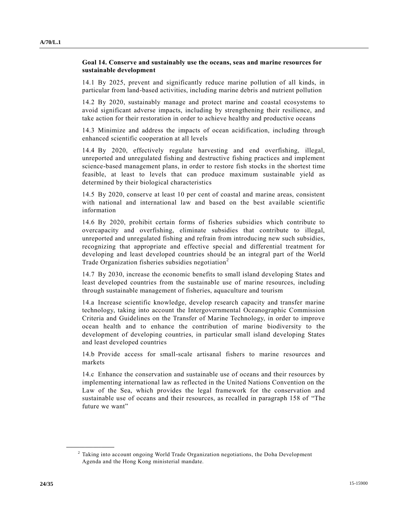# **Goal 14. Conserve and sustainably use the oceans, seas and marine resources for sustainable development**

14.1 By 2025, prevent and significantly reduce marine pollution of all kinds, in particular from land-based activities, including marine debris and nutrient pollution

14.2 By 2020, sustainably manage and protect marine and coastal ecosystems to avoid significant adverse impacts, including by strengthening their resilience, and take action for their restoration in order to achieve healthy and productive oceans

14.3 Minimize and address the impacts of ocean acidification, including through enhanced scientific cooperation at all levels

14.4 By 2020, effectively regulate harvesting and end overfishing, illegal, unreported and unregulated fishing and destructive fishing practices and implement science-based management plans, in order to restore fish stocks in the shortest time feasible, at least to levels that can produce maximum sustainable yield as determined by their biological characteristics

14.5 By 2020, conserve at least 10 per cent of coastal and marine areas, consistent with national and international law and based on the best available scientific information

14.6 By 2020, prohibit certain forms of fisheries subsidies which contribute to overcapacity and overfishing, eliminate subsidies that contribute to illegal, unreported and unregulated fishing and refrain from introducing new such subsidies, recognizing that appropriate and effective special and differential treatment for developing and least developed countries should be an integral part of the World Trade Organization fisheries subsidies negotiation<sup>2</sup>

14.7 By 2030, increase the economic benefits to small island developing States and least developed countries from the sustainable use of marine resources, including through sustainable management of fisheries, aquaculture and tourism

14.a Increase scientific knowledge, develop research capacity and transfer marine technology, taking into account the Intergovernmental Oceanographic Commission Criteria and Guidelines on the Transfer of Marine Technology, in order to improve ocean health and to enhance the contribution of marine biodiversity to the development of developing countries, in particular small island developing States and least developed countries

14.b Provide access for small-scale artisanal fishers to marine resources and markets

14.c Enhance the conservation and sustainable use of oceans and their resources by implementing international law as reflected in the United Nations Convention on the Law of the Sea, which provides the legal framework for the conservation and sustainable use of oceans and their resources, as recalled in paragraph 158 of "The future we want"

**\_\_\_\_\_\_\_\_\_\_\_\_\_\_\_\_\_\_**

<sup>&</sup>lt;sup>2</sup> Taking into account ongoing World Trade Organization negotiations, the Doha Development Agenda and the Hong Kong ministerial mandate.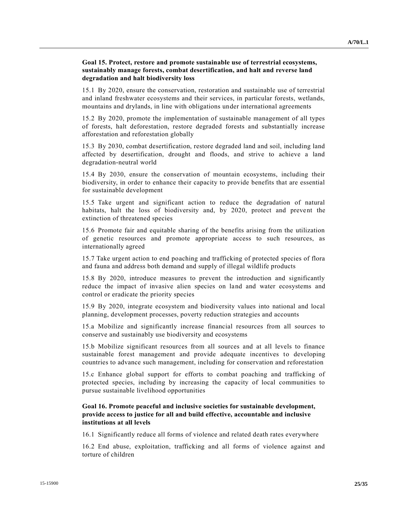# **Goal 15. Protect, restore and promote sustainable use of terrestrial ecosystems, sustainably manage forests, combat desertification, and halt and reverse land degradation and halt biodiversity loss**

15.1 By 2020, ensure the conservation, restoration and sustainable use of terrestrial and inland freshwater ecosystems and their services, in particular forests, wetlands, mountains and drylands, in line with obligations under international agreements

15.2 By 2020, promote the implementation of sustainable management of all types of forests, halt deforestation, restore degraded forests and substantially increase afforestation and reforestation globally

15.3 By 2030, combat desertification, restore degraded land and soil, including land affected by desertification, drought and floods, and strive to achieve a land degradation-neutral world

15.4 By 2030, ensure the conservation of mountain ecosystems, including their biodiversity, in order to enhance their capacity to provide benefits that are essential for sustainable development

15.5 Take urgent and significant action to reduce the degradation of natural habitats, halt the loss of biodiversity and, by 2020, protect and prevent the extinction of threatened species

15.6 Promote fair and equitable sharing of the benefits arising from the utilization of genetic resources and promote appropriate access to such resources, as internationally agreed

15.7 Take urgent action to end poaching and trafficking of protected species of flora and fauna and address both demand and supply of illegal wildlife products

15.8 By 2020, introduce measures to prevent the introduction and significantly reduce the impact of invasive alien species on land and water ecosystems and control or eradicate the priority species

15.9 By 2020, integrate ecosystem and biodiversity values into national and local planning, development processes, poverty reduction strategies and accounts

15.a Mobilize and significantly increase financial resources from all sources to conserve and sustainably use biodiversity and ecosystems

15.b Mobilize significant resources from all sources and at all levels to finance sustainable forest management and provide adequate incentives to developing countries to advance such management, including for conservation and reforestation

15.c Enhance global support for efforts to combat poaching and trafficking of protected species, including by increasing the capacity of local communities to pursue sustainable livelihood opportunities

# **Goal 16. Promote peaceful and inclusive societies for sustainable development, provide access to justice for all and build effective, accountable and inclusive institutions at all levels**

16.1 Significantly reduce all forms of violence and related death rates everywhere

16.2 End abuse, exploitation, trafficking and all forms of violence against and torture of children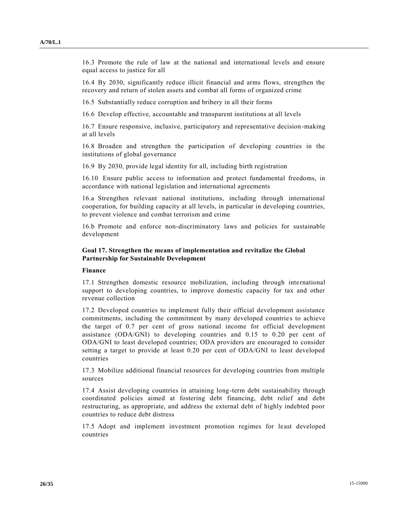16.3 Promote the rule of law at the national and international levels and ensure equal access to justice for all

16.4 By 2030, significantly reduce illicit financial and arms flows, strengthen the recovery and return of stolen assets and combat all forms of organized crime

16.5 Substantially reduce corruption and bribery in all their forms

16.6 Develop effective, accountable and transparent institutions at all levels

16.7 Ensure responsive, inclusive, participatory and representative decision-making at all levels

16.8 Broaden and strengthen the participation of developing countries in the institutions of global governance

16.9 By 2030, provide legal identity for all, including birth registration

16.10 Ensure public access to information and protect fundamental freedoms, in accordance with national legislation and international agreements

16.a Strengthen relevant national institutions, including through international cooperation, for building capacity at all levels, in particular in developing countries, to prevent violence and combat terrorism and crime

16.b Promote and enforce non-discriminatory laws and policies for sustainable development

# **Goal 17. Strengthen the means of implementation and revitalize the Global Partnership for Sustainable Development**

## **Finance**

17.1 Strengthen domestic resource mobilization, including through international support to developing countries, to improve domestic capacity for tax and other revenue collection

17.2 Developed countries to implement fully their official development assistance commitments, including the commitment by many developed countries to achieve the target of 0.7 per cent of gross national income for official development assistance (ODA/GNI) to developing countries and 0.15 to 0.20 per cent of ODA/GNI to least developed countries; ODA providers are encouraged to consider setting a target to provide at least 0.20 per cent of ODA/GNI to least developed countries

17.3 Mobilize additional financial resources for developing countries from multiple sources

17.4 Assist developing countries in attaining long-term debt sustainability through coordinated policies aimed at fostering debt financing, debt relief and debt restructuring, as appropriate, and address the external debt of highly indebted poor countries to reduce debt distress

17.5 Adopt and implement investment promotion regimes for least developed countries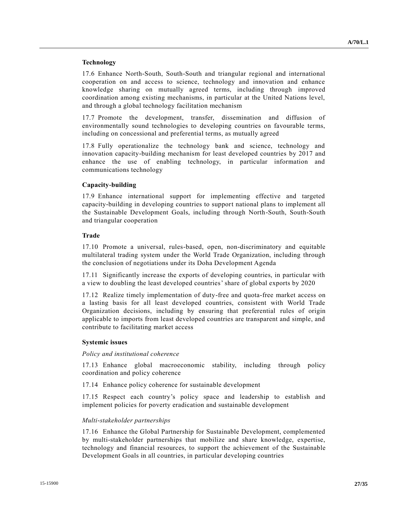# **Technology**

17.6 Enhance North-South, South-South and triangular regional and international cooperation on and access to science, technology and innovation and enhance knowledge sharing on mutually agreed terms, including through improved coordination among existing mechanisms, in particular at the United Nations level, and through a global technology facilitation mechanism

17.7 Promote the development, transfer, dissemination and diffusion of environmentally sound technologies to developing countries on favourable terms, including on concessional and preferential terms, as mutually agreed

17.8 Fully operationalize the technology bank and science, technology and innovation capacity-building mechanism for least developed countries by 2017 and enhance the use of enabling technology, in particular information and communications technology

### **Capacity-building**

17.9 Enhance international support for implementing effective and targeted capacity-building in developing countries to support national plans to implement all the Sustainable Development Goals, including through North-South, South-South and triangular cooperation

# **Trade**

17.10 Promote a universal, rules-based, open, non-discriminatory and equitable multilateral trading system under the World Trade Organization, including through the conclusion of negotiations under its Doha Development Agenda

17.11 Significantly increase the exports of developing countries, in particular with a view to doubling the least developed countries' share of global exports by 2020

17.12 Realize timely implementation of duty-free and quota-free market access on a lasting basis for all least developed countries, consistent with World Trade Organization decisions, including by ensuring that preferential rules of origin applicable to imports from least developed countries are transparent and simple, and contribute to facilitating market access

#### **Systemic issues**

#### *Policy and institutional coherence*

17.13 Enhance global macroeconomic stability, including through policy coordination and policy coherence

17.14 Enhance policy coherence for sustainable development

17.15 Respect each country's policy space and leadership to establish and implement policies for poverty eradication and sustainable development

# *Multi-stakeholder partnerships*

17.16 Enhance the Global Partnership for Sustainable Development, complemented by multi-stakeholder partnerships that mobilize and share knowledge, expertise, technology and financial resources, to support the achievement of the Sustainable Development Goals in all countries, in particular developing countries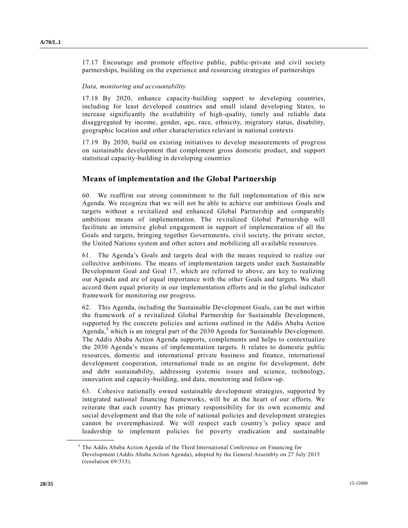17.17 Encourage and promote effective public, public-private and civil society partnerships, building on the experience and resourcing strategies of partnerships

### *Data, monitoring and accountability*

17.18 By 2020, enhance capacity-building support to developing countries, including for least developed countries and small island developing States, to increase significantly the availability of high-quality, timely and reliable data disaggregated by income, gender, age, race, ethnicity, migratory status, disability, geographic location and other characteristics relevant in national contexts

17.19 By 2030, build on existing initiatives to develop measurements of progress on sustainable development that complement gross domestic product, and support statistical capacity-building in developing countries

# **Means of implementation and the Global Partnership**

60. We reaffirm our strong commitment to the full implementation of this new Agenda. We recognize that we will not be able to achieve our ambitious Goals and targets without a revitalized and enhanced Global Partnership and comparably ambitious means of implementation. The revitalized Global Partnership will facilitate an intensive global engagement in support of implementation of all the Goals and targets, bringing together Governments, civil society, the private sector, the United Nations system and other actors and mobilizing all available resources.

61. The Agenda's Goals and targets deal with the means required to realize our collective ambitions. The means of implementation targets under each Sustainable Development Goal and Goal 17, which are referred to above, are key to realizing our Agenda and are of equal importance with the other Goals and targets. We shall accord them equal priority in our implementation efforts and in the global indicator framework for monitoring our progress.

62. This Agenda, including the Sustainable Development Goals, can be met within the framework of a revitalized Global Partnership for Sustainable Development, supported by the concrete policies and actions outlined in the Addis Ababa Action Agenda,<sup>3</sup> which is an integral part of the 2030 Agenda for Sustainable Development. The Addis Ababa Action Agenda supports, complements and helps to contextualize the 2030 Agenda's means of implementation targets. It relates to domestic public resources, domestic and international private business and finance, international development cooperation, international trade as an engine for development, debt and debt sustainability, addressing systemic issues and science, technology, innovation and capacity-building, and data, monitoring and follow-up.

63. Cohesive nationally owned sustainable development strategies, supported by integrated national financing frameworks, will be at the heart of our efforts. We reiterate that each country has primary responsibility for its own economic and social development and that the role of national policies and development strategies cannot be overemphasized. We will respect each country's policy space and leadership to implement policies for poverty eradication and sustainable

**\_\_\_\_\_\_\_\_\_\_\_\_\_\_\_\_\_\_**

<sup>&</sup>lt;sup>3</sup> The Addis Ababa Action Agenda of the Third International Conference on Financing for Development (Addis Ababa Action Agenda), adopted by the General Assembly on 27 July 2015 (resolution 69/313).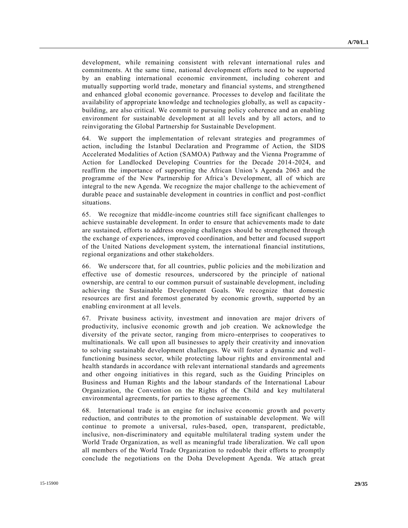development, while remaining consistent with relevant international rules and commitments. At the same time, national development efforts need to be supported by an enabling international economic environment, including coherent and mutually supporting world trade, monetary and financial systems, and strengthened and enhanced global economic governance. Processes to develop and facilitate the availability of appropriate knowledge and technologies globally, as well as capacity building, are also critical. We commit to pursuing policy coherence and an enabling environment for sustainable development at all levels and by all actors, and to reinvigorating the Global Partnership for Sustainable Development.

64. We support the implementation of relevant strategies and programmes of action, including the Istanbul Declaration and Programme of Action, the SIDS Accelerated Modalities of Action (SAMOA) Pathway and the Vienna Programme of Action for Landlocked Developing Countries for the Decade 2014-2024, and reaffirm the importance of supporting the African Union's Agenda 2063 and the programme of the New Partnership for Africa's Development, all of which are integral to the new Agenda. We recognize the major challenge to the achievement of durable peace and sustainable development in countries in conflict and post-conflict situations.

65. We recognize that middle-income countries still face significant challenges to achieve sustainable development. In order to ensure that achievements made to date are sustained, efforts to address ongoing challenges should be strengthened through the exchange of experiences, improved coordination, and better and focused support of the United Nations development system, the international financial institutions, regional organizations and other stakeholders.

66. We underscore that, for all countries, public policies and the mobilization and effective use of domestic resources, underscored by the principle of national ownership, are central to our common pursuit of sustainable development, including achieving the Sustainable Development Goals. We recognize that domestic resources are first and foremost generated by economic growth, supported by an enabling environment at all levels.

67. Private business activity, investment and innovation are major drivers of productivity, inclusive economic growth and job creation. We acknowledge the diversity of the private sector, ranging from micro-enterprises to cooperatives to multinationals. We call upon all businesses to apply their creativity and innovation to solving sustainable development challenges. We will foster a dynamic and wellfunctioning business sector, while protecting labour rights and environmental and health standards in accordance with relevant international standards and agreements and other ongoing initiatives in this regard, such as the Guiding Principles on Business and Human Rights and the labour standards of the International Labour Organization, the Convention on the Rights of the Child and key multilateral environmental agreements, for parties to those agreements.

68. International trade is an engine for inclusive economic growth and poverty reduction, and contributes to the promotion of sustainable development. We will continue to promote a universal, rules-based, open, transparent, predictable, inclusive, non-discriminatory and equitable multilateral trading system under the World Trade Organization, as well as meaningful trade liberalization. We call upon all members of the World Trade Organization to redouble their efforts to promptly conclude the negotiations on the Doha Development Agenda. We attach great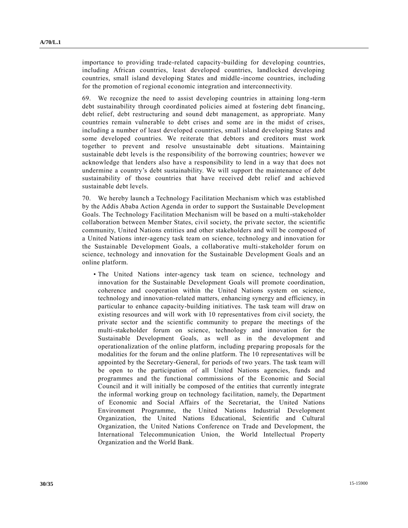importance to providing trade-related capacity-building for developing countries, including African countries, least developed countries, landlocked developing countries, small island developing States and middle-income countries, including for the promotion of regional economic integration and interconnectivity.

69. We recognize the need to assist developing countries in attaining long-term debt sustainability through coordinated policies aimed at fostering debt financing, debt relief, debt restructuring and sound debt management, as appropriate. Many countries remain vulnerable to debt crises and some are in the midst of crises, including a number of least developed countries, small island developing States and some developed countries. We reiterate that debtors and creditors must work together to prevent and resolve unsustainable debt situations. Maintaining sustainable debt levels is the responsibility of the borrowing countries; however we acknowledge that lenders also have a responsibility to lend in a way that does not undermine a country's debt sustainability. We will support the maintenance of debt sustainability of those countries that have received debt relief and achieved sustainable debt levels.

70. We hereby launch a Technology Facilitation Mechanism which was established by the Addis Ababa Action Agenda in order to support the Sustainable Development Goals. The Technology Facilitation Mechanism will be based on a multi-stakeholder collaboration between Member States, civil society, the private sector, the scientific community, United Nations entities and other stakeholders and will be composed of a United Nations inter-agency task team on science, technology and innovation for the Sustainable Development Goals, a collaborative multi-stakeholder forum on science, technology and innovation for the Sustainable Development Goals and an online platform.

• The United Nations inter-agency task team on science, technology and innovation for the Sustainable Development Goals will promote coordination, coherence and cooperation within the United Nations system on science, technology and innovation-related matters, enhancing synergy and efficiency, in particular to enhance capacity-building initiatives. The task team will draw on existing resources and will work with 10 representatives from civil society, the private sector and the scientific community to prepare the meetings of the multi-stakeholder forum on science, technology and innovation for the Sustainable Development Goals, as well as in the development and operationalization of the online platform, including preparing proposals for the modalities for the forum and the online platform. The 10 representatives will be appointed by the Secretary-General, for periods of two years. The task team will be open to the participation of all United Nations agencies, funds and programmes and the functional commissions of the Economic and Social Council and it will initially be composed of the entities that currently integrate the informal working group on technology facilitation, namely, the Department of Economic and Social Affairs of the Secretariat, the United Nations Environment Programme, the United Nations Industrial Development Organization, the United Nations Educational, Scientific and Cultural Organization, the United Nations Conference on Trade and Development, the International Telecommunication Union, the World Intellectual Property Organization and the World Bank.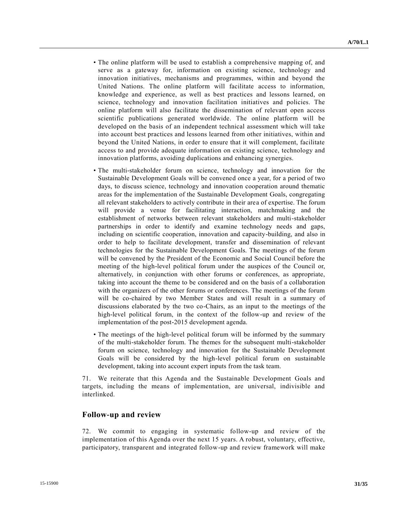- The online platform will be used to establish a comprehensive mapping of, and serve as a gateway for, information on existing science, technology and innovation initiatives, mechanisms and programmes, within and beyond the United Nations. The online platform will facilitate access to information, knowledge and experience, as well as best practices and lessons learned, on science, technology and innovation facilitation initiatives and policies. The online platform will also facilitate the dissemination of relevant open access scientific publications generated worldwide. The online platform will be developed on the basis of an independent technical assessment which will take into account best practices and lessons learned from other initiatives, within and beyond the United Nations, in order to ensure that it will complement, facilitate access to and provide adequate information on existing science, technology and innovation platforms, avoiding duplications and enhancing synergies.
- The multi-stakeholder forum on science, technology and innovation for the Sustainable Development Goals will be convened once a year, for a period of two days, to discuss science, technology and innovation cooperation around thematic areas for the implementation of the Sustainable Development Goals, congregating all relevant stakeholders to actively contribute in their area of expertise. The forum will provide a venue for facilitating interaction, matchmaking and the establishment of networks between relevant stakeholders and multi-stakeholder partnerships in order to identify and examine technology needs and gaps, including on scientific cooperation, innovation and capacity-building, and also in order to help to facilitate development, transfer and dissemination of relevant technologies for the Sustainable Development Goals. The meetings of the forum will be convened by the President of the Economic and Social Council before the meeting of the high-level political forum under the auspices of the Council or, alternatively, in conjunction with other forums or conferences, as appropriate, taking into account the theme to be considered and on the basis of a collaboration with the organizers of the other forums or conferences. The meetings of the forum will be co-chaired by two Member States and will result in a summary of discussions elaborated by the two co-Chairs, as an input to the meetings of the high-level political forum, in the context of the follow-up and review of the implementation of the post-2015 development agenda.
- The meetings of the high-level political forum will be informed by the summary of the multi-stakeholder forum. The themes for the subsequent multi-stakeholder forum on science, technology and innovation for the Sustainable Development Goals will be considered by the high-level political forum on sustainable development, taking into account expert inputs from the task team.

71. We reiterate that this Agenda and the Sustainable Development Goals and targets, including the means of implementation, are universal, indivisible and interlinked.

# **Follow-up and review**

72. We commit to engaging in systematic follow-up and review of the implementation of this Agenda over the next 15 years. A robust, voluntary, effective, participatory, transparent and integrated follow-up and review framework will make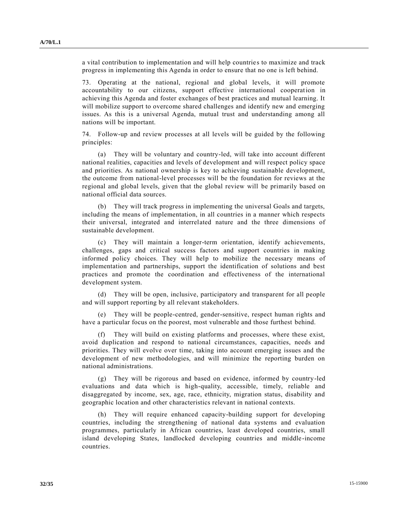a vital contribution to implementation and will help countries to maximize and track progress in implementing this Agenda in order to ensure that no one is left behind.

73. Operating at the national, regional and global levels, it will promote accountability to our citizens, support effective international cooperation in achieving this Agenda and foster exchanges of best practices and mutual learning. It will mobilize support to overcome shared challenges and identify new and emerging issues. As this is a universal Agenda, mutual trust and understanding among all nations will be important.

74. Follow-up and review processes at all levels will be guided by the following principles:

(a) They will be voluntary and country-led, will take into account different national realities, capacities and levels of development and will respect policy space and priorities. As national ownership is key to achieving sustainable development, the outcome from national-level processes will be the foundation for reviews at the regional and global levels, given that the global review will be primarily based on national official data sources.

(b) They will track progress in implementing the universal Goals and targets, including the means of implementation, in all countries in a manner which respects their universal, integrated and interrelated nature and the three dimensions of sustainable development.

(c) They will maintain a longer-term orientation, identify achievements, challenges, gaps and critical success factors and support countries in making informed policy choices. They will help to mobilize the necessary means of implementation and partnerships, support the identification of solutions and best practices and promote the coordination and effectiveness of the international development system.

(d) They will be open, inclusive, participatory and transparent for all people and will support reporting by all relevant stakeholders.

(e) They will be people-centred, gender-sensitive, respect human rights and have a particular focus on the poorest, most vulnerable and those furthest behind.

(f) They will build on existing platforms and processes, where these exist, avoid duplication and respond to national circumstances, capacities, needs and priorities. They will evolve over time, taking into account emerging issues and the development of new methodologies, and will minimize the reporting burden on national administrations.

(g) They will be rigorous and based on evidence, informed by country-led evaluations and data which is high-quality, accessible, timely, reliable and disaggregated by income, sex, age, race, ethnicity, migration status, disability and geographic location and other characteristics relevant in national contexts.

(h) They will require enhanced capacity-building support for developing countries, including the strengthening of national data systems and evaluation programmes, particularly in African countries, least developed countries, small island developing States, landlocked developing countries and middle -income countries.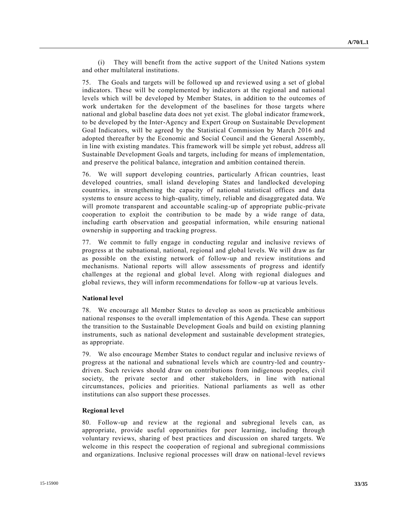(i) They will benefit from the active support of the United Nations system and other multilateral institutions.

75. The Goals and targets will be followed up and reviewed using a set of global indicators. These will be complemented by indicators at the regional and national levels which will be developed by Member States, in addition to the outcomes of work undertaken for the development of the baselines for those targets where national and global baseline data does not yet exist. The global indicator framework, to be developed by the Inter-Agency and Expert Group on Sustainable Development Goal Indicators, will be agreed by the Statistical Commission by March 2016 and adopted thereafter by the Economic and Social Council and the General Assembly, in line with existing mandates. This framework will be simple yet robust, address all Sustainable Development Goals and targets, including for means of implementation, and preserve the political balance, integration and ambition contained therein.

76. We will support developing countries, particularly African countries, least developed countries, small island developing States and landlocked developing countries, in strengthening the capacity of national statistical offices and data systems to ensure access to high-quality, timely, reliable and disaggregated data. We will promote transparent and accountable scaling-up of appropriate public-private cooperation to exploit the contribution to be made by a wide range of data, including earth observation and geospatial information, while ensuring national ownership in supporting and tracking progress.

77. We commit to fully engage in conducting regular and inclusive reviews of progress at the subnational, national, regional and global levels. We will draw as far as possible on the existing network of follow-up and review institutions and mechanisms. National reports will allow assessments of progress and identify challenges at the regional and global level. Along with regional dialogues and global reviews, they will inform recommendations for follow-up at various levels.

# **National level**

78. We encourage all Member States to develop as soon as practicable ambitious national responses to the overall implementation of this Agenda. These can support the transition to the Sustainable Development Goals and build on existing planning instruments, such as national development and sustainable development strategies, as appropriate.

79. We also encourage Member States to conduct regular and inclusive reviews of progress at the national and subnational levels which are country-led and countrydriven. Such reviews should draw on contributions from indigenous peoples, civil society, the private sector and other stakeholders, in line with national circumstances, policies and priorities. National parliaments as well as other institutions can also support these processes.

## **Regional level**

80. Follow-up and review at the regional and subregional levels can, as appropriate, provide useful opportunities for peer learning, including through voluntary reviews, sharing of best practices and discussion on shared targets. We welcome in this respect the cooperation of regional and subregional commissions and organizations. Inclusive regional processes will draw on national-level reviews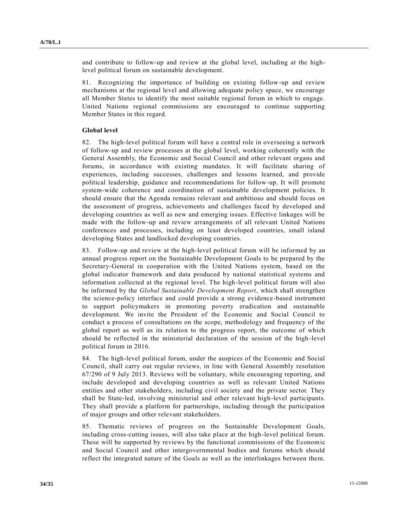and contribute to follow-up and review at the global level, including at the highlevel political forum on sustainable development.

81. Recognizing the importance of building on existing follow-up and review mechanisms at the regional level and allowing adequate policy space, we encourage all Member States to identify the most suitable regional forum in which to engage. United Nations regional commissions are encouraged to continue supporting Member States in this regard.

## **Global level**

82. The high-level political forum will have a central role in overseeing a network of follow-up and review processes at the global level, working coherently with the General Assembly, the Economic and Social Council and other relevant organs and forums, in accordance with existing mandates. It will facilitate sharing of experiences, including successes, challenges and lessons learned, and provide political leadership, guidance and recommendations for follow-up. It will promote system-wide coherence and coordination of sustainable development policies. It should ensure that the Agenda remains relevant and ambitious and should focus on the assessment of progress, achievements and challenges faced by developed and developing countries as well as new and emerging issues. Effective linkages will be made with the follow-up and review arrangements of all relevant United Nations conferences and processes, including on least developed countries, small island developing States and landlocked developing countries.

83. Follow-up and review at the high-level political forum will be informed by an annual progress report on the Sustainable Development Goals to be prepared by the Secretary-General in cooperation with the United Nations system, based on the global indicator framework and data produced by national statistical systems and information collected at the regional level. The high-level political forum will also be informed by the *Global Sustainable Development Report*, which shall strengthen the science-policy interface and could provide a strong evidence-based instrument to support policymakers in promoting poverty eradication and sustainable development. We invite the President of the Economic and Social Council to conduct a process of consultations on the scope, methodology and frequency of the global report as well as its relation to the progress report, the outcome of which should be reflected in the ministerial declaration of the session of the high -level political forum in 2016.

84. The high-level political forum, under the auspices of the Economic and Social Council, shall carry out regular reviews, in line with General Assembly resolution 67/290 of 9 July 2013. Reviews will be voluntary, while encouraging reporting, and include developed and developing countries as well as relevant United Nations entities and other stakeholders, including civil society and the private sector. They shall be State-led, involving ministerial and other relevant high-level participants. They shall provide a platform for partnerships, including through the participation of major groups and other relevant stakeholders.

85. Thematic reviews of progress on the Sustainable Development Goals, including cross-cutting issues, will also take place at the high-level political forum. These will be supported by reviews by the functional commissions of the Economic and Social Council and other intergovernmental bodies and forums which should reflect the integrated nature of the Goals as well as the interlinkages between them.